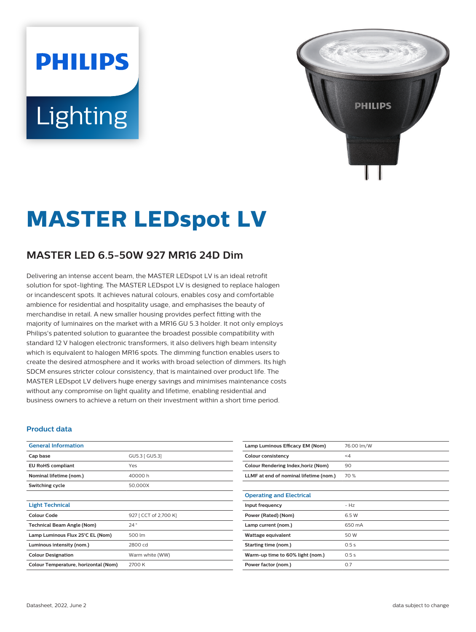# **PHILIPS** Lighting



## **MASTER LEDspot LV**

### **MASTER LED 6.5-50W 927 MR16 24D Dim**

Delivering an intense accent beam, the MASTER LEDspot LV is an ideal retrofit solution for spot-lighting. The MASTER LEDspot LV is designed to replace halogen or incandescent spots. It achieves natural colours, enables cosy and comfortable ambience for residential and hospitality usage, and emphasises the beauty of merchandise in retail. A new smaller housing provides perfect fitting with the majority of luminaires on the market with a MR16 GU 5.3 holder. It not only employs Philips's patented solution to guarantee the broadest possible compatibility with standard 12 V halogen electronic transformers, it also delivers high beam intensity which is equivalent to halogen MR16 spots. The dimming function enables users to create the desired atmosphere and it works with broad selection of dimmers. Its high SDCM ensures stricter colour consistency, that is maintained over product life. The MASTER LEDspot LV delivers huge energy savings and minimises maintenance costs without any compromise on light quality and lifetime, enabling residential and business owners to achieve a return on their investment within a short time period.

#### **Product data**

| <b>General Information</b>           |                       |
|--------------------------------------|-----------------------|
| Cap base                             | GU5.3   GU5.3]        |
| <b>EU RoHS compliant</b>             | Yes                   |
| Nominal lifetime (nom.)              | 40000h                |
| Switching cycle                      | 50,000X               |
|                                      |                       |
| <b>Light Technical</b>               |                       |
| Colour Code                          | 927 [ CCT of 2,700 K] |
| <b>Technical Beam Angle (Nom)</b>    | $24^{\circ}$          |
| Lamp Luminous Flux 25°C EL (Nom)     | 500 lm                |
| Luminous intensity (nom.)            | 2800 cd               |
| <b>Colour Designation</b>            | Warm white (WW)       |
| Colour Temperature, horizontal (Nom) | 2700 K                |

| Lamp Luminous Efficacy EM (Nom)        | 76.00 lm/W |
|----------------------------------------|------------|
| Colour consistency                     | $\leq 4$   |
| Colour Rendering Index, horiz (Nom)    | 90         |
| LLMF at end of nominal lifetime (nom.) | 70 %       |
|                                        |            |
| <b>Operating and Electrical</b>        |            |
| Input frequency                        | $- Hz$     |
| Power (Rated) (Nom)                    | 6.5 W      |
| Lamp current (nom.)                    | 650 mA     |
| Wattage equivalent                     | 50 W       |
| Starting time (nom.)                   | 0.5s       |
| Warm-up time to 60% light (nom.)       | 0.5s       |
| Power factor (nom.)                    | 0.7        |
|                                        |            |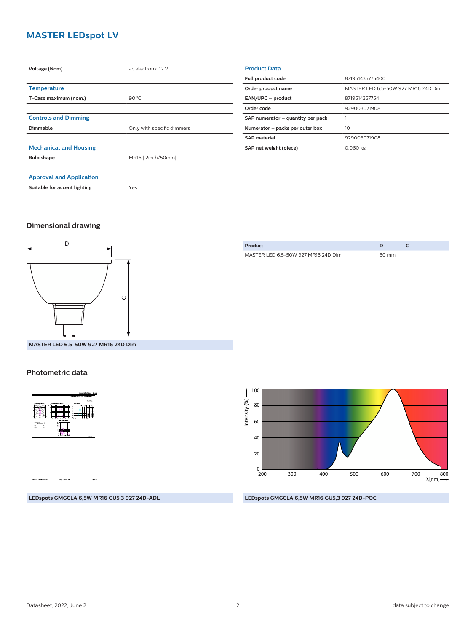#### **MASTER LEDspot LV**

| Voltage (Nom)                   | ac electronic 12 V         |
|---------------------------------|----------------------------|
|                                 |                            |
| <b>Temperature</b>              |                            |
| T-Case maximum (nom.)           | 90 °C                      |
|                                 |                            |
| <b>Controls and Dimming</b>     |                            |
| Dimmable                        | Only with specific dimmers |
|                                 |                            |
| <b>Mechanical and Housing</b>   |                            |
| <b>Bulb shape</b>               | MR16 [2inch/50mm]          |
|                                 |                            |
| <b>Approval and Application</b> |                            |
| Suitable for accent lighting    | Yes                        |
|                                 |                            |

| <b>Product Data</b>               |                                     |  |
|-----------------------------------|-------------------------------------|--|
| Full product code                 | 871951435775400                     |  |
| Order product name                | MASTER LED 6.5-50W 927 MR16 24D Dim |  |
| EAN/UPC - product                 | 8719514357754                       |  |
| Order code                        | 929003071908                        |  |
| SAP numerator - quantity per pack |                                     |  |
| Numerator - packs per outer box   | 10                                  |  |
| <b>SAP material</b>               | 929003071908                        |  |
| SAP net weight (piece)            | 0.060 kg                            |  |

#### **Dimensional drawing**



| Product                             |       |  |
|-------------------------------------|-------|--|
| MASTER LED 6.5-50W 927 MR16 24D Dim | 50 mm |  |
|                                     |       |  |

**MASTER LED 6.5-50W 927 MR16 24D Dim**

#### **Photometric data**



100 Intensity  $(% ) \longrightarrow$ Intensity (%) 80 60 40 20  $_{200}^{0}$ 700 800 200 300 400 500 600  $\lambda$ [nm]-

#### **LEDspots GMGCLA 6,5W MR16 GU5,3 927 24D-ADL**

#### **LEDspots GMGCLA 6,5W MR16 GU5,3 927 24D-POC**